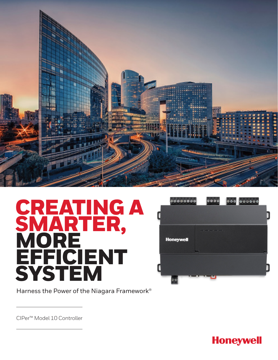

# CREATING A SMARTER, **MORE** EFFICIENT SYSTEM



Harness the Power of the Niagara Framework®

CIPer™ Model 10 Controller